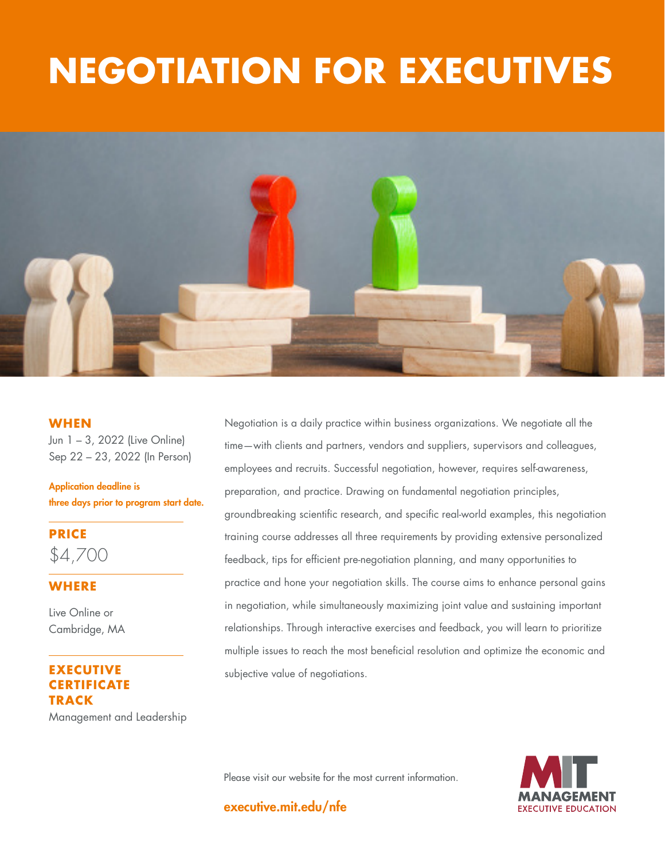# **THE GOOD JOBS NEGOTIATION FOR EXECUTIVES**



#### **WHEN**

Jun 1 – 3, 2022 (Live Online) Sep 22 – 23, 2022 (In Person)

Application deadline is three days prior to program start date.

**PRICE** \$4,700

#### **WHERE**

Live Online or Cambridge, MA

#### **EXECUTIVE RTIFICATE TRACK**

Management and Leadership

Negotiation is a daily practice within business organizations. We negotiate all the time—with clients and partners, vendors and suppliers, supervisors and colleagues, employees and recruits. Successful negotiation, however, requires self-awareness, preparation, and practice. Drawing on fundamental negotiation principles, groundbreaking scientific research, and specific real-world examples, this negotiation training course addresses all three requirements by providing extensive personalized feedback, tips for efficient pre-negotiation planning, and many opportunities to practice and hone your negotiation skills. The course aims to enhance personal gains in negotiation, while simultaneously maximizing joint value and sustaining important relationships. Through interactive exercises and feedback, you will learn to prioritize multiple issues to reach the most beneficial resolution and optimize the economic and subjective value of negotiations.

Please visit our website for the most current information.

executive.mit.edu/nfe